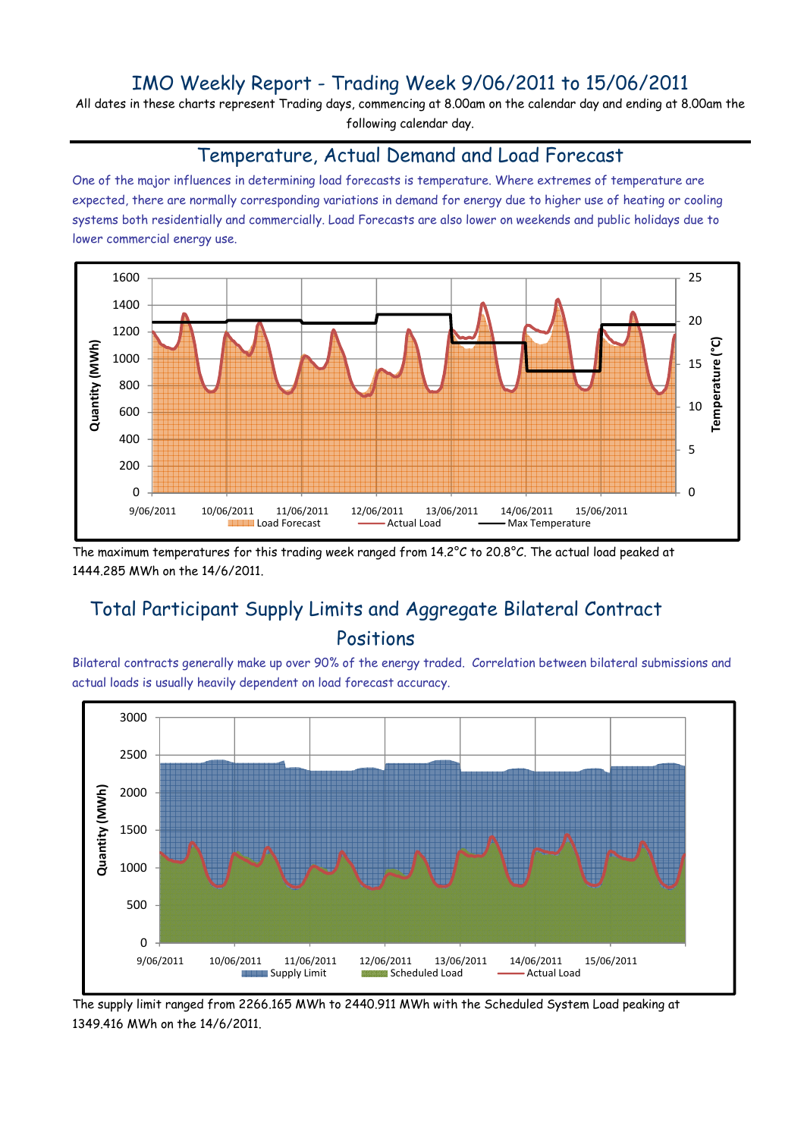## IMO Weekly Report - Trading Week 9/06/2011 to 15/06/2011

All dates in these charts represent Trading days, commencing at 8.00am on the calendar day and ending at 8.00am the following calendar day.

#### Temperature, Actual Demand and Load Forecast

One of the major influences in determining load forecasts is temperature. Where extremes of temperature are expected, there are normally corresponding variations in demand for energy due to higher use of heating or cooling systems both residentially and commercially. Load Forecasts are also lower on weekends and public holidays due to lower commercial energy use.



The maximum temperatures for this trading week ranged from 14.2°C to 20.8°C. The actual load peaked at 1444.285 MWh on the 14/6/2011.

# Total Participant Supply Limits and Aggregate Bilateral Contract Positions

Bilateral contracts generally make up over 90% of the energy traded. Correlation between bilateral submissions and actual loads is usually heavily dependent on load forecast accuracy.



The supply limit ranged from 2266.165 MWh to 2440.911 MWh with the Scheduled System Load peaking at 1349.416 MWh on the 14/6/2011.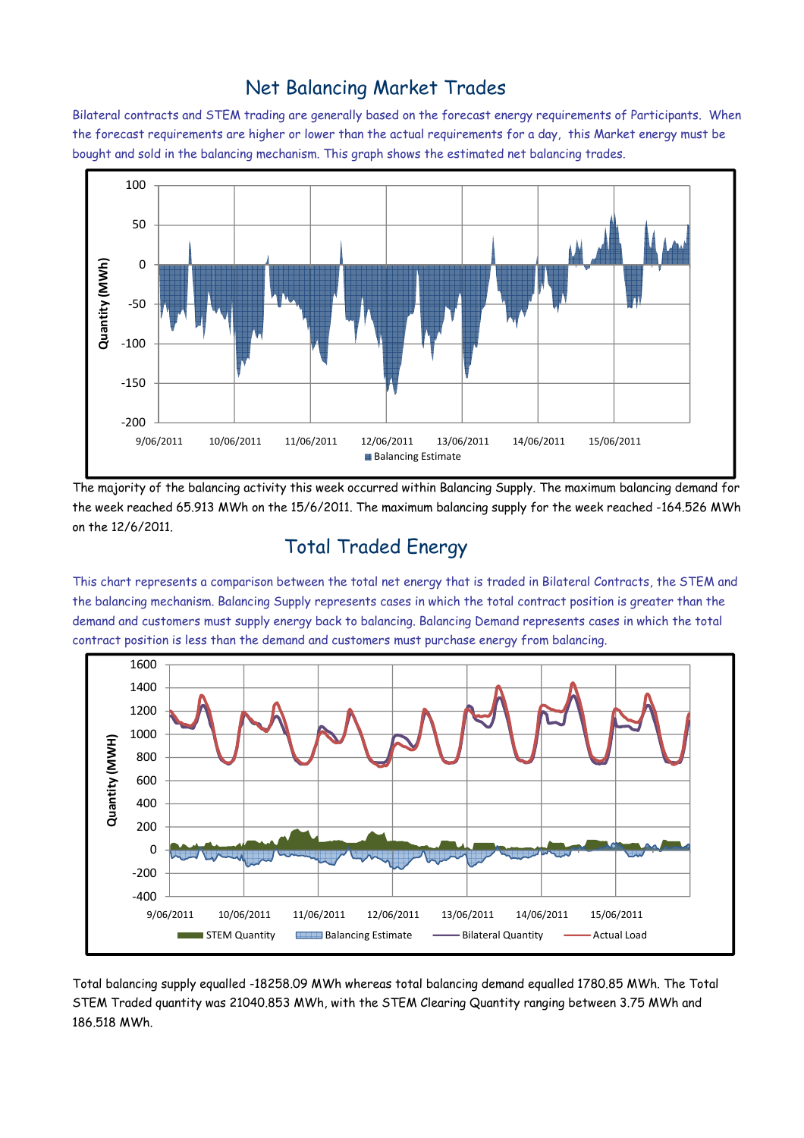### Net Balancing Market Trades

Bilateral contracts and STEM trading are generally based on the forecast energy requirements of Participants. When the forecast requirements are higher or lower than the actual requirements for a day, this Market energy must be bought and sold in the balancing mechanism. This graph shows the estimated net balancing trades.



The majority of the balancing activity this week occurred within Balancing Supply. The maximum balancing demand for the week reached 65.913 MWh on the 15/6/2011. The maximum balancing supply for the week reached -164.526 MWh on the 12/6/2011.

# Total Traded Energy

This chart represents a comparison between the total net energy that is traded in Bilateral Contracts, the STEM and the balancing mechanism. Balancing Supply represents cases in which the total contract position is greater than the demand and customers must supply energy back to balancing. Balancing Demand represents cases in which the total contract position is less than the demand and customers must purchase energy from balancing.



Total balancing supply equalled -18258.09 MWh whereas total balancing demand equalled 1780.85 MWh. The Total STEM Traded quantity was 21040.853 MWh, with the STEM Clearing Quantity ranging between 3.75 MWh and 186.518 MWh.